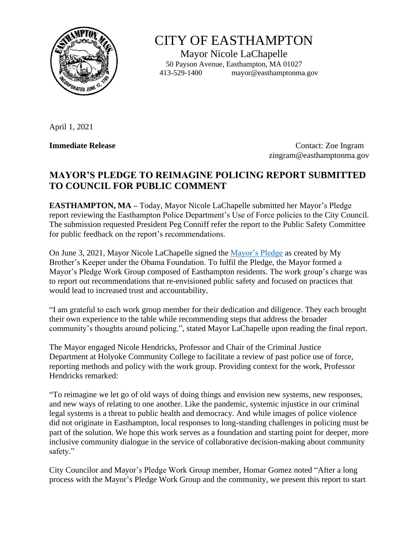

## CITY OF EASTHAMPTON

Mayor Nicole LaChapelle 50 Payson Avenue, Easthampton, MA 01027 413-529-1400 mayor@easthamptonma.gov

April 1, 2021

**Immediate Release** Contact: Zoe Ingram zingram@easthamptonma.gov

## **MAYOR'S PLEDGE TO REIMAGINE POLICING REPORT SUBMITTED TO COUNCIL FOR PUBLIC COMMENT**

**EASTHAMPTON, MA –** Today, Mayor Nicole LaChapelle submitted her Mayor's Pledge report reviewing the Easthampton Police Department's Use of Force policies to the City Council. The submission requested President Peg Conniff refer the report to the Public Safety Committee for public feedback on the report's recommendations.

On June 3, 2021, Mayor Nicole LaChapelle signed the [Mayor's Pledge](https://www.obama.org/policing-pledge/) as created by My Brother's Keeper under the Obama Foundation. To fulfil the Pledge, the Mayor formed a Mayor's Pledge Work Group composed of Easthampton residents. The work group's charge was to report out recommendations that re-envisioned public safety and focused on practices that would lead to increased trust and accountability.

"I am grateful to each work group member for their dedication and diligence. They each brought their own experience to the table while recommending steps that address the broader community's thoughts around policing.", stated Mayor LaChapelle upon reading the final report.

The Mayor engaged Nicole Hendricks, Professor and Chair of the Criminal Justice Department at Holyoke Community College to facilitate a review of past police use of force, reporting methods and policy with the work group. Providing context for the work, Professor Hendricks remarked:

"To reimagine we let go of old ways of doing things and envision new systems, new responses, and new ways of relating to one another. Like the pandemic, systemic injustice in our criminal legal systems is a threat to public health and democracy. And while images of police violence did not originate in Easthampton, local responses to long-standing challenges in policing must be part of the solution. We hope this work serves as a foundation and starting point for deeper, more inclusive community dialogue in the service of collaborative decision-making about community safety."

City Councilor and Mayor's Pledge Work Group member, Homar Gomez noted "After a long process with the Mayor's Pledge Work Group and the community, we present this report to start